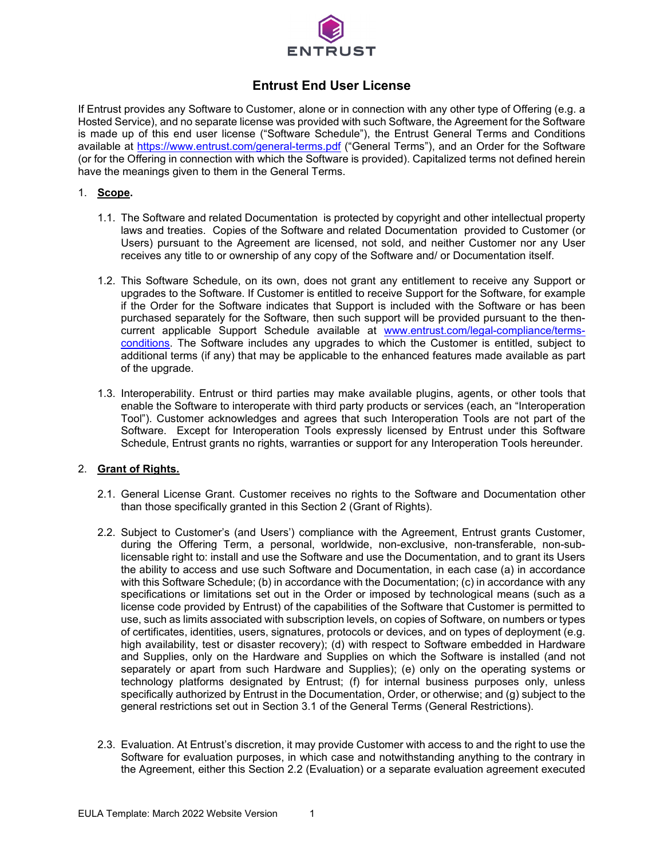

# **Entrust End User License**

If Entrust provides any Software to Customer, alone or in connection with any other type of Offering (e.g. a Hosted Service), and no separate license was provided with such Software, the Agreement for the Software is made up of this end user license ("Software Schedule"), the Entrust General Terms and Conditions available at<https://www.entrust.com/general-terms.pdf> ("General Terms"), and an Order for the Software (or for the Offering in connection with which the Software is provided). Capitalized terms not defined herein have the meanings given to them in the General Terms.

### 1. **Scope.**

- 1.1. The Software and related Documentation is protected by copyright and other intellectual property laws and treaties. Copies of the Software and related Documentation provided to Customer (or Users) pursuant to the Agreement are licensed, not sold, and neither Customer nor any User receives any title to or ownership of any copy of the Software and/ or Documentation itself.
- 1.2. This Software Schedule, on its own, does not grant any entitlement to receive any Support or upgrades to the Software. If Customer is entitled to receive Support for the Software, for example if the Order for the Software indicates that Support is included with the Software or has been purchased separately for the Software, then such support will be provided pursuant to the thencurrent applicable Support Schedule available at www.entrust.com/legal-compliance/termsconditions. The Software includes any upgrades to which the Customer is entitled, subject to additional terms (if any) that may be applicable to the enhanced features made available as part of the upgrade.
- 1.3. Interoperability. Entrust or third parties may make available plugins, agents, or other tools that enable the Software to interoperate with third party products or services (each, an "Interoperation Tool"). Customer acknowledges and agrees that such Interoperation Tools are not part of the Software. Except for Interoperation Tools expressly licensed by Entrust under this Software Schedule, Entrust grants no rights, warranties or support for any Interoperation Tools hereunder.

#### 2. **Grant of Rights.**

- 2.1. General License Grant. Customer receives no rights to the Software and Documentation other than those specifically granted in this Section 2 (Grant of Rights).
- 2.2. Subject to Customer's (and Users') compliance with the Agreement, Entrust grants Customer, during the Offering Term, a personal, worldwide, non-exclusive, non-transferable, non-sublicensable right to: install and use the Software and use the Documentation, and to grant its Users the ability to access and use such Software and Documentation, in each case (a) in accordance with this Software Schedule; (b) in accordance with the Documentation; (c) in accordance with any specifications or limitations set out in the Order or imposed by technological means (such as a license code provided by Entrust) of the capabilities of the Software that Customer is permitted to use, such as limits associated with subscription levels, on copies of Software, on numbers or types of certificates, identities, users, signatures, protocols or devices, and on types of deployment (e.g. high availability, test or disaster recovery); (d) with respect to Software embedded in Hardware and Supplies, only on the Hardware and Supplies on which the Software is installed (and not separately or apart from such Hardware and Supplies); (e) only on the operating systems or technology platforms designated by Entrust; (f) for internal business purposes only, unless specifically authorized by Entrust in the Documentation, Order, or otherwise; and (g) subject to the general restrictions set out in Section 3.1 of the General Terms (General Restrictions).
- 2.3. Evaluation. At Entrust's discretion, it may provide Customer with access to and the right to use the Software for evaluation purposes, in which case and notwithstanding anything to the contrary in the Agreement, either this Section 2.2 (Evaluation) or a separate evaluation agreement executed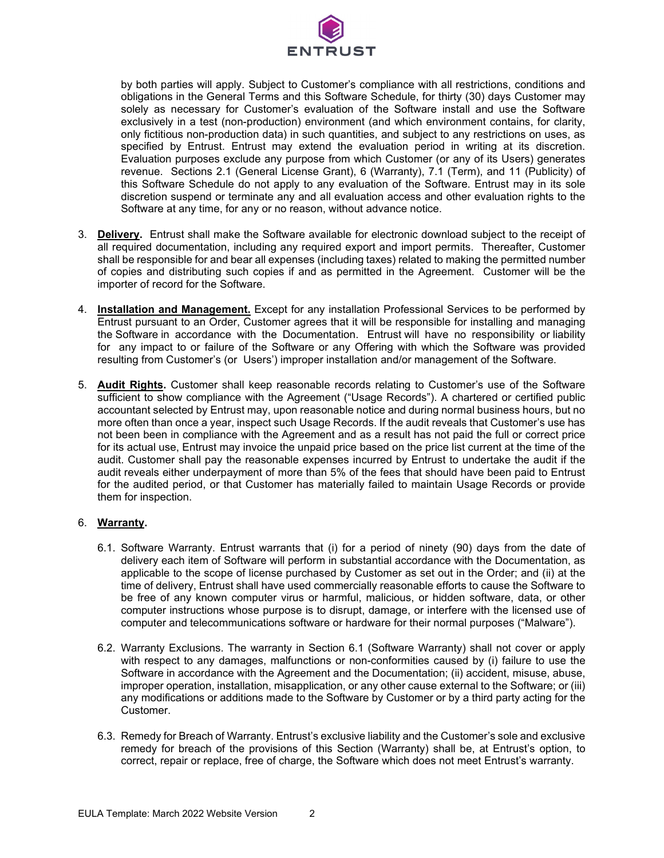

by both parties will apply. Subject to Customer's compliance with all restrictions, conditions and obligations in the General Terms and this Software Schedule, for thirty (30) days Customer may solely as necessary for Customer's evaluation of the Software install and use the Software exclusively in a test (non-production) environment (and which environment contains, for clarity, only fictitious non-production data) in such quantities, and subject to any restrictions on uses, as specified by Entrust. Entrust may extend the evaluation period in writing at its discretion. Evaluation purposes exclude any purpose from which Customer (or any of its Users) generates revenue. Sections 2.1 (General License Grant), 6 (Warranty), 7.1 (Term), and 11 (Publicity) of this Software Schedule do not apply to any evaluation of the Software. Entrust may in its sole discretion suspend or terminate any and all evaluation access and other evaluation rights to the Software at any time, for any or no reason, without advance notice.

- 3. **Delivery.** Entrust shall make the Software available for electronic download subject to the receipt of all required documentation, including any required export and import permits. Thereafter, Customer shall be responsible for and bear all expenses (including taxes) related to making the permitted number of copies and distributing such copies if and as permitted in the Agreement. Customer will be the importer of record for the Software.
- 4. **Installation and Management.** Except for any installation Professional Services to be performed by Entrust pursuant to an Order, Customer agrees that it will be responsible for installing and managing the Software in accordance with the Documentation. Entrust will have no responsibility or liability for any impact to or failure of the Software or any Offering with which the Software was provided resulting from Customer's (or Users') improper installation and/or management of the Software.
- 5. **Audit Rights.** Customer shall keep reasonable records relating to Customer's use of the Software sufficient to show compliance with the Agreement ("Usage Records"). A chartered or certified public accountant selected by Entrust may, upon reasonable notice and during normal business hours, but no more often than once a year, inspect such Usage Records. If the audit reveals that Customer's use has not been been in compliance with the Agreement and as a result has not paid the full or correct price for its actual use, Entrust may invoice the unpaid price based on the price list current at the time of the audit. Customer shall pay the reasonable expenses incurred by Entrust to undertake the audit if the audit reveals either underpayment of more than 5% of the fees that should have been paid to Entrust for the audited period, or that Customer has materially failed to maintain Usage Records or provide them for inspection.

#### 6. **Warranty.**

- 6.1. Software Warranty. Entrust warrants that (i) for a period of ninety (90) days from the date of delivery each item of Software will perform in substantial accordance with the Documentation, as applicable to the scope of license purchased by Customer as set out in the Order; and (ii) at the time of delivery, Entrust shall have used commercially reasonable efforts to cause the Software to be free of any known computer virus or harmful, malicious, or hidden software, data, or other computer instructions whose purpose is to disrupt, damage, or interfere with the licensed use of computer and telecommunications software or hardware for their normal purposes ("Malware").
- 6.2. Warranty Exclusions. The warranty in Section 6.1 (Software Warranty) shall not cover or apply with respect to any damages, malfunctions or non-conformities caused by (i) failure to use the Software in accordance with the Agreement and the Documentation; (ii) accident, misuse, abuse, improper operation, installation, misapplication, or any other cause external to the Software; or (iii) any modifications or additions made to the Software by Customer or by a third party acting for the Customer.
- 6.3. Remedy for Breach of Warranty. Entrust's exclusive liability and the Customer's sole and exclusive remedy for breach of the provisions of this Section (Warranty) shall be, at Entrust's option, to correct, repair or replace, free of charge, the Software which does not meet Entrust's warranty.